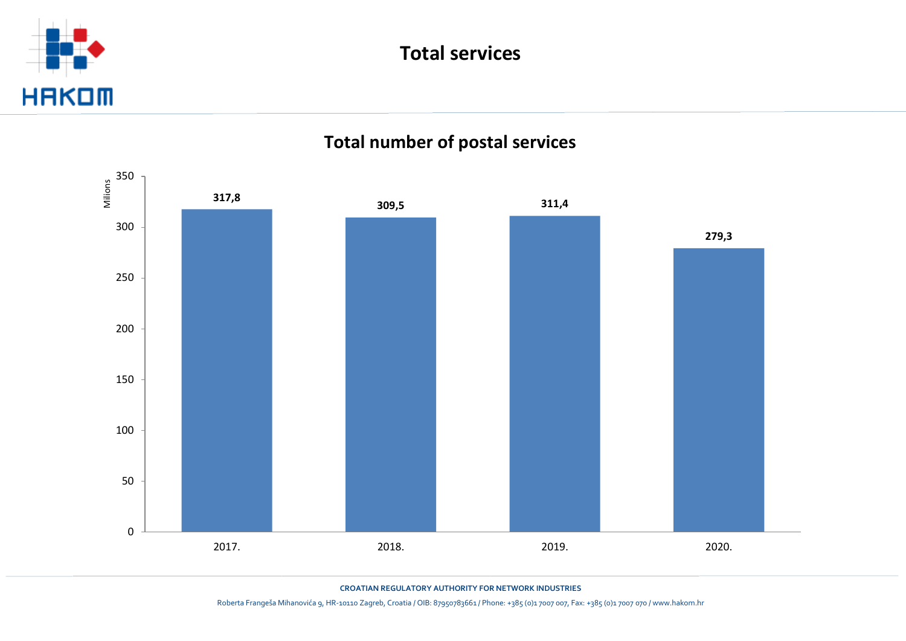





**CROATIAN REGULATORY AUTHORITY FOR NETWORK INDUSTRIES**

Roberta Frangeša Mihanovića 9, HR-10110 Zagreb, Croatia / OIB: 87950783661 / Phone: +385 (0)1 7007 007, Fax: +385 (0)1 7007 070 / www.hakom.hr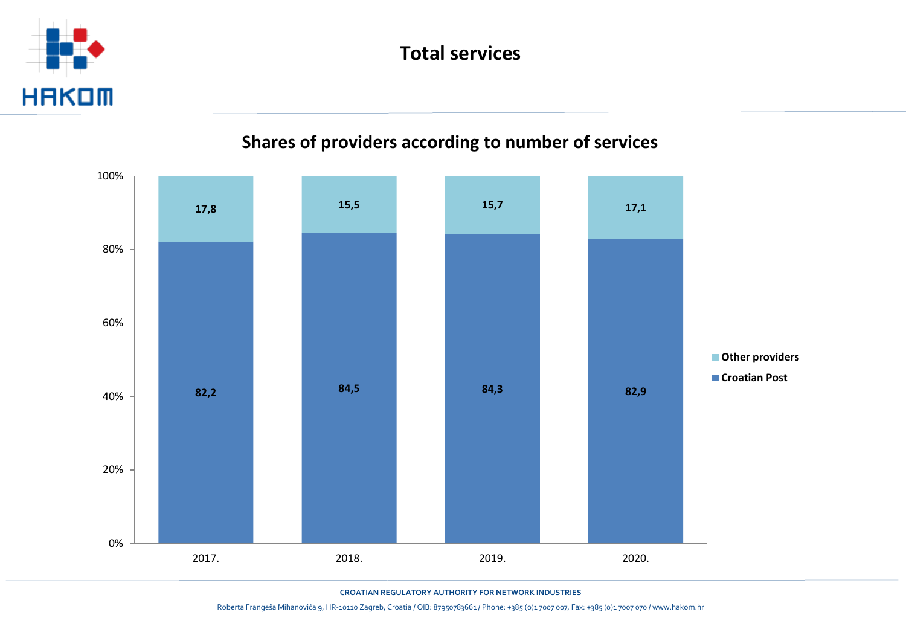





**CROATIAN REGULATORY AUTHORITY FOR NETWORK INDUSTRIES**

Roberta Frangeša Mihanovića 9, HR-10110 Zagreb, Croatia / OIB: 87950783661 / Phone: +385 (0)1 7007 007, Fax: +385 (0)1 7007 070 / www.hakom.hr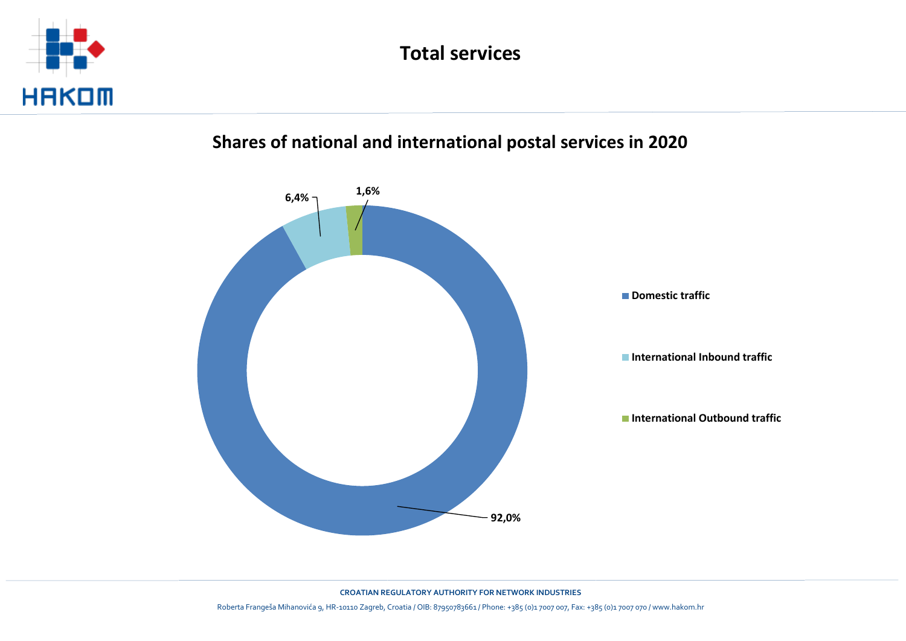

#### **Shares of national and international postal services in 2020**



**CROATIAN REGULATORY AUTHORITY FOR NETWORK INDUSTRIES**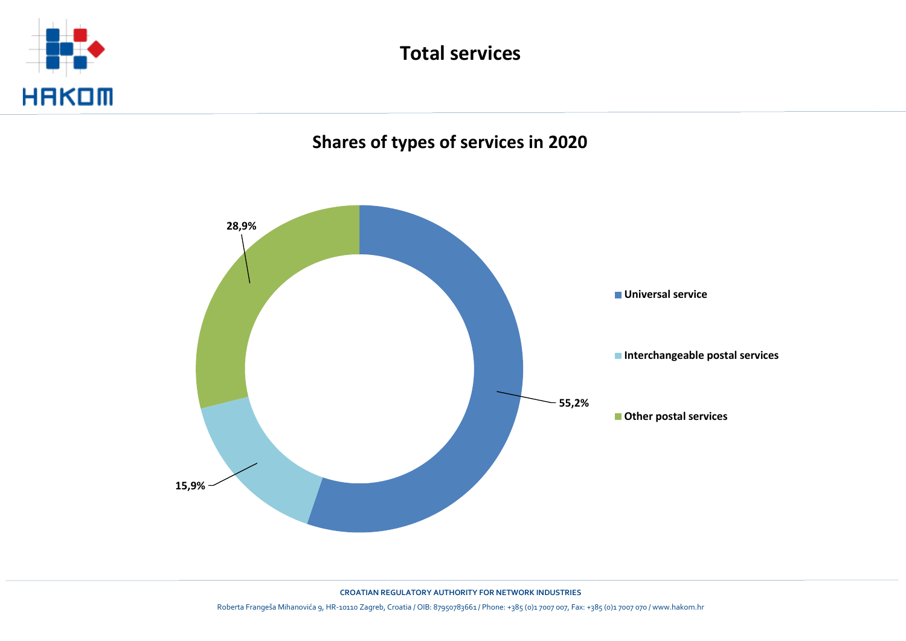





**CROATIAN REGULATORY AUTHORITY FOR NETWORK INDUSTRIES**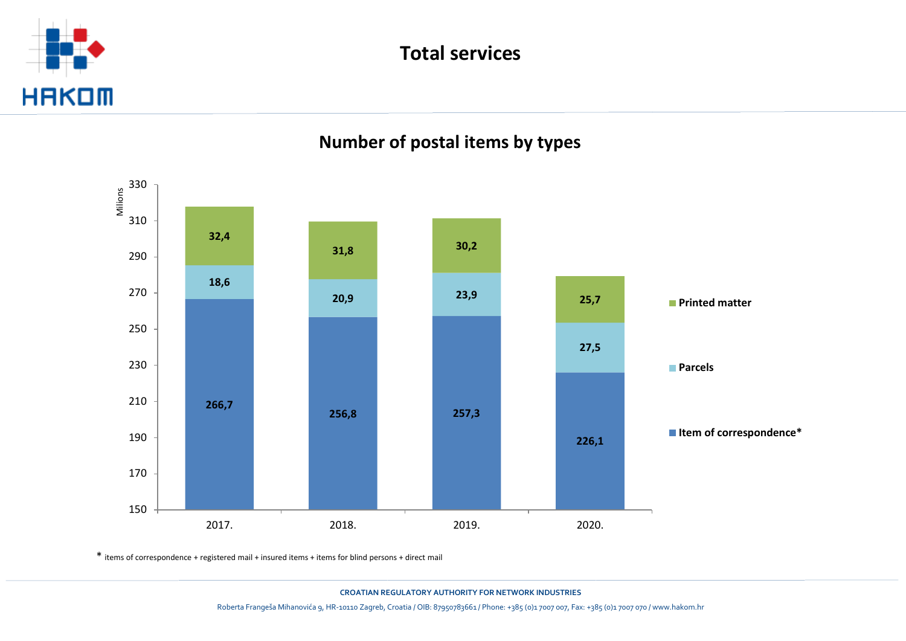





\* items of correspondence + registered mail + insured items + items for blind persons + direct mail

**CROATIAN REGULATORY AUTHORITY FOR NETWORK INDUSTRIES** Roberta Frangeša Mihanovića 9, HR-10110 Zagreb, Croatia / OIB: 87950783661 / Phone: +385 (0)1 7007 007, Fax: +385 (0)1 7007 070 / www.hakom.hr